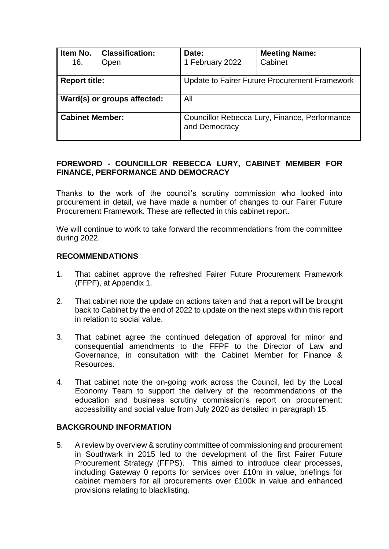| Item No.<br>16.             | <b>Classification:</b><br>Open | Date:<br>1 February 2022                                       | <b>Meeting Name:</b><br>Cabinet |  |  |
|-----------------------------|--------------------------------|----------------------------------------------------------------|---------------------------------|--|--|
| <b>Report title:</b>        |                                | Update to Fairer Future Procurement Framework                  |                                 |  |  |
| Ward(s) or groups affected: |                                | All                                                            |                                 |  |  |
| <b>Cabinet Member:</b>      |                                | Councillor Rebecca Lury, Finance, Performance<br>and Democracy |                                 |  |  |

## **FOREWORD - COUNCILLOR REBECCA LURY, CABINET MEMBER FOR FINANCE, PERFORMANCE AND DEMOCRACY**

Thanks to the work of the council's scrutiny commission who looked into procurement in detail, we have made a number of changes to our Fairer Future Procurement Framework. These are reflected in this cabinet report.

We will continue to work to take forward the recommendations from the committee during 2022.

#### **RECOMMENDATIONS**

- 1. That cabinet approve the refreshed Fairer Future Procurement Framework (FFPF), at Appendix 1.
- 2. That cabinet note the update on actions taken and that a report will be brought back to Cabinet by the end of 2022 to update on the next steps within this report in relation to social value.
- 3. That cabinet agree the continued delegation of approval for minor and consequential amendments to the FFPF to the Director of Law and Governance, in consultation with the Cabinet Member for Finance & Resources.
- 4. That cabinet note the on-going work across the Council, led by the Local Economy Team to support the delivery of the recommendations of the education and business scrutiny commission's report on procurement: accessibility and social value from July 2020 as detailed in paragraph 15.

#### **BACKGROUND INFORMATION**

5. A review by overview & scrutiny committee of commissioning and procurement in Southwark in 2015 led to the development of the first Fairer Future Procurement Strategy (FFPS). This aimed to introduce clear processes, including Gateway 0 reports for services over £10m in value, briefings for cabinet members for all procurements over £100k in value and enhanced provisions relating to blacklisting.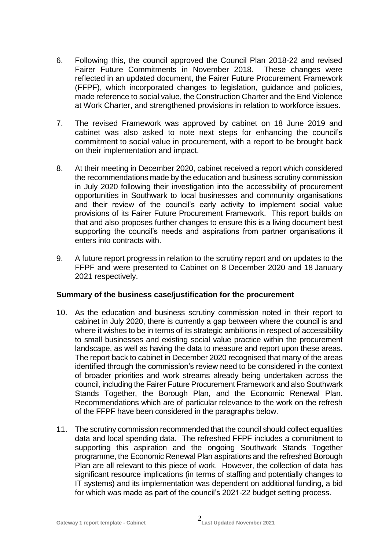- 6. Following this, the council approved the Council Plan 2018-22 and revised Fairer Future Commitments in November 2018. These changes were reflected in an updated document, the Fairer Future Procurement Framework (FFPF), which incorporated changes to legislation, guidance and policies, made reference to social value, the Construction Charter and the End Violence at Work Charter, and strengthened provisions in relation to workforce issues.
- 7. The revised Framework was approved by cabinet on 18 June 2019 and cabinet was also asked to note next steps for enhancing the council's commitment to social value in procurement, with a report to be brought back on their implementation and impact.
- 8. At their meeting in December 2020, cabinet received a report which considered the recommendations made by the education and business scrutiny commission in July 2020 following their investigation into the accessibility of procurement opportunities in Southwark to local businesses and community organisations and their review of the council's early activity to implement social value provisions of its Fairer Future Procurement Framework. This report builds on that and also proposes further changes to ensure this is a living document best supporting the council's needs and aspirations from partner organisations it enters into contracts with.
- 9. A future report progress in relation to the scrutiny report and on updates to the FFPF and were presented to Cabinet on 8 December 2020 and 18 January 2021 respectively.

## **Summary of the business case/justification for the procurement**

- 10. As the education and business scrutiny commission noted in their report to cabinet in July 2020, there is currently a gap between where the council is and where it wishes to be in terms of its strategic ambitions in respect of accessibility to small businesses and existing social value practice within the procurement landscape, as well as having the data to measure and report upon these areas. The report back to cabinet in December 2020 recognised that many of the areas identified through the commission's review need to be considered in the context of broader priorities and work streams already being undertaken across the council, including the Fairer Future Procurement Framework and also Southwark Stands Together, the Borough Plan, and the Economic Renewal Plan. Recommendations which are of particular relevance to the work on the refresh of the FFPF have been considered in the paragraphs below.
- 11. The scrutiny commission recommended that the council should collect equalities data and local spending data. The refreshed FFPF includes a commitment to supporting this aspiration and the ongoing Southwark Stands Together programme, the Economic Renewal Plan aspirations and the refreshed Borough Plan are all relevant to this piece of work. However, the collection of data has significant resource implications (in terms of staffing and potentially changes to IT systems) and its implementation was dependent on additional funding, a bid for which was made as part of the council's 2021-22 budget setting process.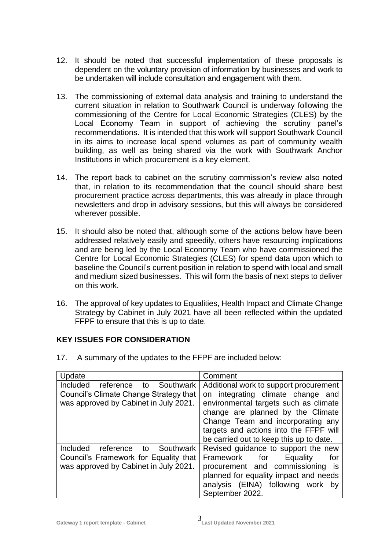- 12. It should be noted that successful implementation of these proposals is dependent on the voluntary provision of information by businesses and work to be undertaken will include consultation and engagement with them.
- 13. The commissioning of external data analysis and training to understand the current situation in relation to Southwark Council is underway following the commissioning of the Centre for Local Economic Strategies (CLES) by the Local Economy Team in support of achieving the scrutiny panel's recommendations. It is intended that this work will support Southwark Council in its aims to increase local spend volumes as part of community wealth building, as well as being shared via the work with Southwark Anchor Institutions in which procurement is a key element.
- 14. The report back to cabinet on the scrutiny commission's review also noted that, in relation to its recommendation that the council should share best procurement practice across departments, this was already in place through newsletters and drop in advisory sessions, but this will always be considered wherever possible.
- 15. It should also be noted that, although some of the actions below have been addressed relatively easily and speedily, others have resourcing implications and are being led by the Local Economy Team who have commissioned the Centre for Local Economic Strategies (CLES) for spend data upon which to baseline the Council's current position in relation to spend with local and small and medium sized businesses. This will form the basis of next steps to deliver on this work.
- 16. The approval of key updates to Equalities, Health Impact and Climate Change Strategy by Cabinet in July 2021 have all been reflected within the updated FFPF to ensure that this is up to date.

# **KEY ISSUES FOR CONSIDERATION**

17. A summary of the updates to the FFPF are included below:

| Update                                                                                                                   | Comment                                                                                                                                                                                                      |  |  |
|--------------------------------------------------------------------------------------------------------------------------|--------------------------------------------------------------------------------------------------------------------------------------------------------------------------------------------------------------|--|--|
| Included reference<br>Southwark<br>to<br>Council's Climate Change Strategy that<br>was approved by Cabinet in July 2021. | Additional work to support procurement<br>on integrating climate change and<br>environmental targets such as climate                                                                                         |  |  |
|                                                                                                                          | change are planned by the Climate<br>Change Team and incorporating any<br>targets and actions into the FFPF will<br>be carried out to keep this up to date.                                                  |  |  |
| Included reference to<br>Southwark<br>Council's Framework for Equality that<br>was approved by Cabinet in July 2021.     | Revised guidance to support the new<br>Framework for<br>Equality<br>for<br>procurement and commissioning is<br>planned for equality impact and needs<br>analysis (EINA) following work by<br>September 2022. |  |  |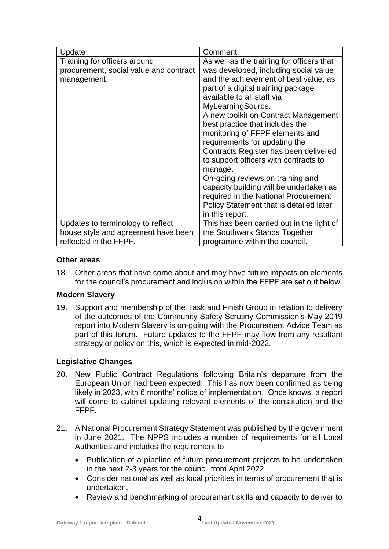| Update                                 | Comment                                   |  |  |
|----------------------------------------|-------------------------------------------|--|--|
| Training for officers around           | As well as the training for officers that |  |  |
| procurement, social value and contract | was developed, including social value     |  |  |
| management.                            | and the achievement of best value, as     |  |  |
|                                        | part of a digital training package        |  |  |
|                                        | available to all staff via                |  |  |
|                                        | MyLearningSource.                         |  |  |
|                                        | A new toolkit on Contract Management      |  |  |
|                                        | best practice that includes the           |  |  |
|                                        | monitoring of FFPF elements and           |  |  |
|                                        | requirements for updating the             |  |  |
|                                        | Contracts Register has been delivered     |  |  |
|                                        | to support officers with contracts to     |  |  |
|                                        | manage.                                   |  |  |
|                                        | On-going reviews on training and          |  |  |
|                                        | capacity building will be undertaken as   |  |  |
|                                        | required in the National Procurement      |  |  |
|                                        | Policy Statement that is detailed later   |  |  |
|                                        | in this report.                           |  |  |
| Updates to terminology to reflect      | This has been carried out in the light of |  |  |
| house style and agreement have been    | the Southwark Stands Together             |  |  |
| reflected in the FFPF.                 | programme within the council.             |  |  |

## **Other areas**

18. Other areas that have come about and may have future impacts on elements for the council's procurement and inclusion within the FFPF are set out below.

## **Modern Slavery**

19. Support and membership of the Task and Finish Group in relation to delivery of the outcomes of the Community Safety Scrutiny Commission's May 2019 report into Modern Slavery is on-going with the Procurement Advice Team as part of this forum. Future updates to the FFPF may flow from any resultant strategy or policy on this, which is expected in mid-2022.

# **Legislative Changes**

- 20. New Public Contract Regulations following Britain's departure from the European Union had been expected. This has now been confirmed as being likely in 2023, with 6 months' notice of implementation. Once knows, a report will come to cabinet updating relevant elements of the constitution and the FFPF.
- 21. A National Procurement Strategy Statement was published by the government in June 2021. The NPPS includes a number of requirements for all Local Authorities and includes the requirement to:
	- Publication of a pipeline of future procurement projects to be undertaken in the next 2-3 years for the council from April 2022.
	- Consider national as well as local priorities in terms of procurement that is undertaken.
	- Review and benchmarking of procurement skills and capacity to deliver to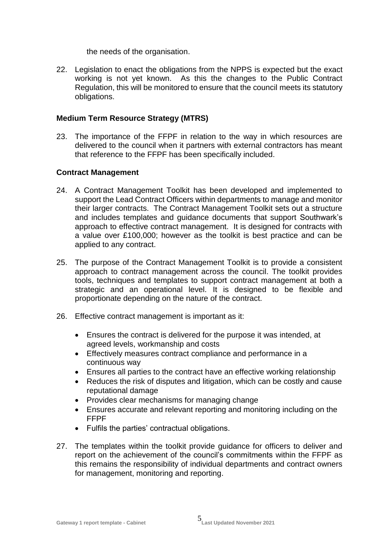the needs of the organisation.

22. Legislation to enact the obligations from the NPPS is expected but the exact working is not yet known. As this the changes to the Public Contract Regulation, this will be monitored to ensure that the council meets its statutory obligations.

## **Medium Term Resource Strategy (MTRS)**

23. The importance of the FFPF in relation to the way in which resources are delivered to the council when it partners with external contractors has meant that reference to the FFPF has been specifically included.

## **Contract Management**

- 24. A Contract Management Toolkit has been developed and implemented to support the Lead Contract Officers within departments to manage and monitor their larger contracts. The Contract Management Toolkit sets out a structure and includes templates and guidance documents that support Southwark's approach to effective contract management. It is designed for contracts with a value over £100,000; however as the toolkit is best practice and can be applied to any contract.
- 25. The purpose of the Contract Management Toolkit is to provide a consistent approach to contract management across the council. The toolkit provides tools, techniques and templates to support contract management at both a strategic and an operational level. It is designed to be flexible and proportionate depending on the nature of the contract.
- 26. Effective contract management is important as it:
	- Ensures the contract is delivered for the purpose it was intended, at agreed levels, workmanship and costs
	- Effectively measures contract compliance and performance in a continuous way
	- Ensures all parties to the contract have an effective working relationship
	- Reduces the risk of disputes and litigation, which can be costly and cause reputational damage
	- Provides clear mechanisms for managing change
	- Ensures accurate and relevant reporting and monitoring including on the FFPF
	- Fulfils the parties' contractual obligations.
- 27. The templates within the toolkit provide guidance for officers to deliver and report on the achievement of the council's commitments within the FFPF as this remains the responsibility of individual departments and contract owners for management, monitoring and reporting.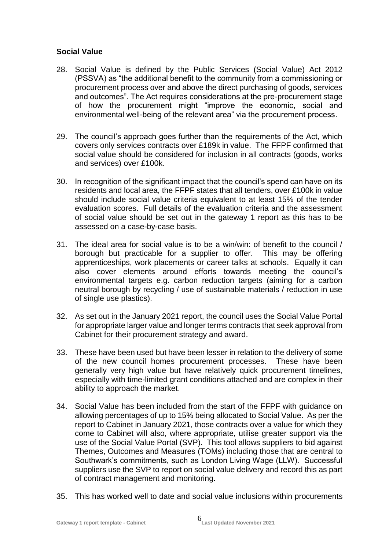## **Social Value**

- 28. Social Value is defined by the Public Services (Social Value) Act 2012 (PSSVA) as "the additional benefit to the community from a commissioning or procurement process over and above the direct purchasing of goods, services and outcomes". The Act requires considerations at the pre-procurement stage of how the procurement might "improve the economic, social and environmental well-being of the relevant area" via the procurement process.
- 29. The council's approach goes further than the requirements of the Act, which covers only services contracts over £189k in value. The FFPF confirmed that social value should be considered for inclusion in all contracts (goods, works and services) over £100k.
- 30. In recognition of the significant impact that the council's spend can have on its residents and local area, the FFPF states that all tenders, over £100k in value should include social value criteria equivalent to at least 15% of the tender evaluation scores. Full details of the evaluation criteria and the assessment of social value should be set out in the gateway 1 report as this has to be assessed on a case-by-case basis.
- 31. The ideal area for social value is to be a win/win: of benefit to the council / borough but practicable for a supplier to offer. This may be offering apprenticeships, work placements or career talks at schools. Equally it can also cover elements around efforts towards meeting the council's environmental targets e.g. carbon reduction targets (aiming for a carbon neutral borough by recycling / use of sustainable materials / reduction in use of single use plastics).
- 32. As set out in the January 2021 report, the council uses the Social Value Portal for appropriate larger value and longer terms contracts that seek approval from Cabinet for their procurement strategy and award.
- 33. These have been used but have been lesser in relation to the delivery of some of the new council homes procurement processes. These have been generally very high value but have relatively quick procurement timelines, especially with time-limited grant conditions attached and are complex in their ability to approach the market.
- 34. Social Value has been included from the start of the FFPF with guidance on allowing percentages of up to 15% being allocated to Social Value. As per the report to Cabinet in January 2021, those contracts over a value for which they come to Cabinet will also, where appropriate, utilise greater support via the use of the Social Value Portal (SVP). This tool allows suppliers to bid against Themes, Outcomes and Measures (TOMs) including those that are central to Southwark's commitments, such as London Living Wage (LLW). Successful suppliers use the SVP to report on social value delivery and record this as part of contract management and monitoring.
- 35. This has worked well to date and social value inclusions within procurements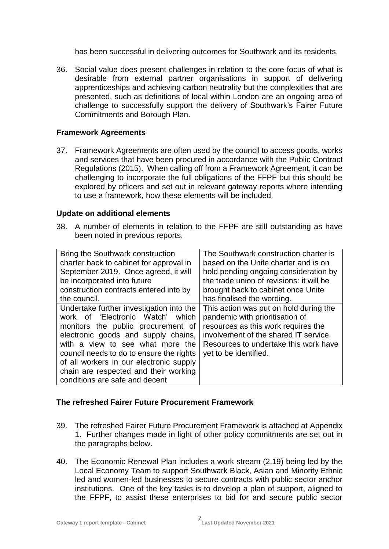has been successful in delivering outcomes for Southwark and its residents.

36. Social value does present challenges in relation to the core focus of what is desirable from external partner organisations in support of delivering apprenticeships and achieving carbon neutrality but the complexities that are presented, such as definitions of local within London are an ongoing area of challenge to successfully support the delivery of Southwark's Fairer Future Commitments and Borough Plan.

#### **Framework Agreements**

37. Framework Agreements are often used by the council to access goods, works and services that have been procured in accordance with the Public Contract Regulations (2015). When calling off from a Framework Agreement, it can be challenging to incorporate the full obligations of the FFPF but this should be explored by officers and set out in relevant gateway reports where intending to use a framework, how these elements will be included.

#### **Update on additional elements**

38. A number of elements in relation to the FFPF are still outstanding as have been noted in previous reports.

| Bring the Southwark construction         | The Southwark construction charter is    |  |  |
|------------------------------------------|------------------------------------------|--|--|
| charter back to cabinet for approval in  | based on the Unite charter and is on     |  |  |
| September 2019. Once agreed, it will     | hold pending ongoing consideration by    |  |  |
| be incorporated into future              | the trade union of revisions: it will be |  |  |
| construction contracts entered into by   | brought back to cabinet once Unite       |  |  |
| the council.                             | has finalised the wording.               |  |  |
| Undertake further investigation into the | This action was put on hold during the   |  |  |
| work of 'Electronic Watch' which         | pandemic with prioritisation of          |  |  |
| monitors the public procurement of       | resources as this work requires the      |  |  |
| electronic goods and supply chains,      | involvement of the shared IT service.    |  |  |
| with a view to see what more the         | Resources to undertake this work have    |  |  |
| council needs to do to ensure the rights | yet to be identified.                    |  |  |
| of all workers in our electronic supply  |                                          |  |  |
| chain are respected and their working    |                                          |  |  |
| conditions are safe and decent           |                                          |  |  |

## **The refreshed Fairer Future Procurement Framework**

- 39. The refreshed Fairer Future Procurement Framework is attached at Appendix 1. Further changes made in light of other policy commitments are set out in the paragraphs below.
- 40. The Economic Renewal Plan includes a work stream (2.19) being led by the Local Economy Team to support Southwark Black, Asian and Minority Ethnic led and women-led businesses to secure contracts with public sector anchor institutions. One of the key tasks is to develop a plan of support, aligned to the FFPF, to assist these enterprises to bid for and secure public sector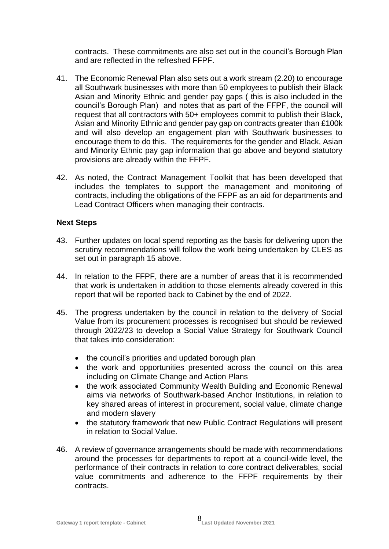contracts. These commitments are also set out in the council's Borough Plan and are reflected in the refreshed FFPF.

- 41. The Economic Renewal Plan also sets out a work stream (2.20) to encourage all Southwark businesses with more than 50 employees to publish their Black Asian and Minority Ethnic and gender pay gaps ( this is also included in the council's Borough Plan) and notes that as part of the FFPF, the council will request that all contractors with 50+ employees commit to publish their Black, Asian and Minority Ethnic and gender pay gap on contracts greater than £100k and will also develop an engagement plan with Southwark businesses to encourage them to do this. The requirements for the gender and Black, Asian and Minority Ethnic pay gap information that go above and beyond statutory provisions are already within the FFPF.
- 42. As noted, the Contract Management Toolkit that has been developed that includes the templates to support the management and monitoring of contracts, including the obligations of the FFPF as an aid for departments and Lead Contract Officers when managing their contracts.

## **Next Steps**

- 43. Further updates on local spend reporting as the basis for delivering upon the scrutiny recommendations will follow the work being undertaken by CLES as set out in paragraph 15 above.
- 44. In relation to the FFPF, there are a number of areas that it is recommended that work is undertaken in addition to those elements already covered in this report that will be reported back to Cabinet by the end of 2022.
- 45. The progress undertaken by the council in relation to the delivery of Social Value from its procurement processes is recognised but should be reviewed through 2022/23 to develop a Social Value Strategy for Southwark Council that takes into consideration:
	- the council's priorities and updated borough plan
	- the work and opportunities presented across the council on this area including on Climate Change and Action Plans
	- the work associated Community Wealth Building and Economic Renewal aims via networks of Southwark-based Anchor Institutions, in relation to key shared areas of interest in procurement, social value, climate change and modern slavery
	- the statutory framework that new Public Contract Regulations will present in relation to Social Value.
- 46. A review of governance arrangements should be made with recommendations around the processes for departments to report at a council-wide level, the performance of their contracts in relation to core contract deliverables, social value commitments and adherence to the FFPF requirements by their contracts.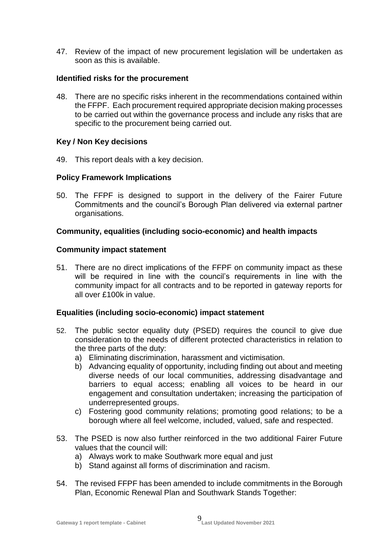47. Review of the impact of new procurement legislation will be undertaken as soon as this is available.

## **Identified risks for the procurement**

48. There are no specific risks inherent in the recommendations contained within the FFPF. Each procurement required appropriate decision making processes to be carried out within the governance process and include any risks that are specific to the procurement being carried out.

## **Key / Non Key decisions**

49. This report deals with a key decision.

## **Policy Framework Implications**

50. The FFPF is designed to support in the delivery of the Fairer Future Commitments and the council's Borough Plan delivered via external partner organisations.

## **Community, equalities (including socio-economic) and health impacts**

## **Community impact statement**

51. There are no direct implications of the FFPF on community impact as these will be required in line with the council's requirements in line with the community impact for all contracts and to be reported in gateway reports for all over £100k in value.

## **Equalities (including socio-economic) impact statement**

- 52. The public sector equality duty (PSED) requires the council to give due consideration to the needs of different protected characteristics in relation to the three parts of the duty:
	- a) Eliminating discrimination, harassment and victimisation.
	- b) Advancing equality of opportunity, including finding out about and meeting diverse needs of our local communities, addressing disadvantage and barriers to equal access; enabling all voices to be heard in our engagement and consultation undertaken; increasing the participation of underrepresented groups.
	- c) Fostering good community relations; promoting good relations; to be a borough where all feel welcome, included, valued, safe and respected.
- 53. The PSED is now also further reinforced in the two additional Fairer Future values that the council will:
	- a) Always work to make Southwark more equal and just
	- b) Stand against all forms of discrimination and racism.
- 54. The revised FFPF has been amended to include commitments in the Borough Plan, Economic Renewal Plan and Southwark Stands Together: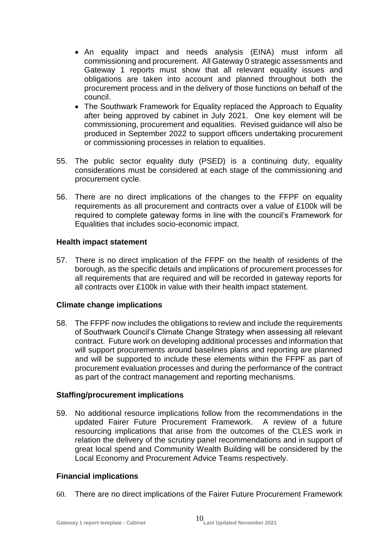- An equality impact and needs analysis (EINA) must inform all commissioning and procurement. All Gateway 0 strategic assessments and Gateway 1 reports must show that all relevant equality issues and obligations are taken into account and planned throughout both the procurement process and in the delivery of those functions on behalf of the council.
- The Southwark Framework for Equality replaced the Approach to Equality after being approved by cabinet in July 2021. One key element will be commissioning, procurement and equalities. Revised guidance will also be produced in September 2022 to support officers undertaking procurement or commissioning processes in relation to equalities.
- 55. The public sector equality duty (PSED) is a continuing duty, equality considerations must be considered at each stage of the commissioning and procurement cycle.
- 56. There are no direct implications of the changes to the FFPF on equality requirements as all procurement and contracts over a value of £100k will be required to complete gateway forms in line with the council's Framework for Equalities that includes socio-economic impact.

## **Health impact statement**

57. There is no direct implication of the FFPF on the health of residents of the borough, as the specific details and implications of procurement processes for all requirements that are required and will be recorded in gateway reports for all contracts over £100k in value with their health impact statement.

# **Climate change implications**

58. The FFPF now includes the obligations to review and include the requirements of Southwark Council's Climate Change Strategy when assessing all relevant contract. Future work on developing additional processes and information that will support procurements around baselines plans and reporting are planned and will be supported to include these elements within the FFPF as part of procurement evaluation processes and during the performance of the contract as part of the contract management and reporting mechanisms.

## **Staffing/procurement implications**

59. No additional resource implications follow from the recommendations in the updated Fairer Future Procurement Framework. A review of a future resourcing implications that arise from the outcomes of the CLES work in relation the delivery of the scrutiny panel recommendations and in support of great local spend and Community Wealth Building will be considered by the Local Economy and Procurement Advice Teams respectively.

# **Financial implications**

60. There are no direct implications of the Fairer Future Procurement Framework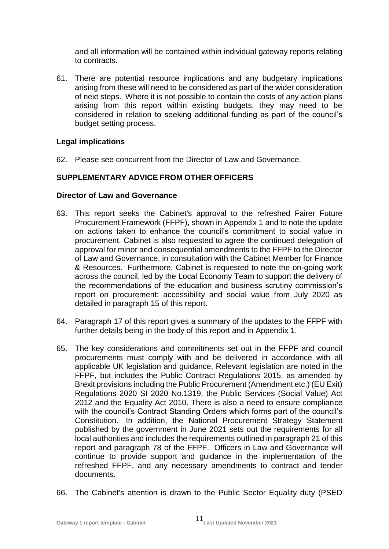and all information will be contained within individual gateway reports relating to contracts.

61. There are potential resource implications and any budgetary implications arising from these will need to be considered as part of the wider consideration of next steps. Where it is not possible to contain the costs of any action plans arising from this report within existing budgets, they may need to be considered in relation to seeking additional funding as part of the council's budget setting process.

# **Legal implications**

62. Please see concurrent from the Director of Law and Governance.

# **SUPPLEMENTARY ADVICE FROM OTHER OFFICERS**

## **Director of Law and Governance**

- 63. This report seeks the Cabinet's approval to the refreshed Fairer Future Procurement Framework (FFPF), shown in Appendix 1 and to note the update on actions taken to enhance the council's commitment to social value in procurement. Cabinet is also requested to agree the continued delegation of approval for minor and consequential amendments to the FFPF to the Director of Law and Governance, in consultation with the Cabinet Member for Finance & Resources. Furthermore, Cabinet is requested to note the on-going work across the council, led by the Local Economy Team to support the delivery of the recommendations of the education and business scrutiny commission's report on procurement: accessibility and social value from July 2020 as detailed in paragraph 15 of this report.
- 64. Paragraph 17 of this report gives a summary of the updates to the FFPF with further details being in the body of this report and in Appendix 1.
- 65. The key considerations and commitments set out in the FFPF and council procurements must comply with and be delivered in accordance with all applicable UK legislation and guidance. Relevant legislation are noted in the FFPF, but includes the Public Contract Regulations 2015, as amended by Brexit provisions including the Public Procurement (Amendment etc.) (EU Exit) Regulations 2020 SI 2020 No.1319, the Public Services (Social Value) Act 2012 and the Equality Act 2010. There is also a need to ensure compliance with the council's Contract Standing Orders which forms part of the council's Constitution. In addition, the National Procurement Strategy Statement published by the government in June 2021 sets out the requirements for all local authorities and includes the requirements outlined in paragraph 21 of this report and paragraph 78 of the FFPF. Officers in Law and Governance will continue to provide support and guidance in the implementation of the refreshed FFPF, and any necessary amendments to contract and tender documents.
- 66. The Cabinet's attention is drawn to the Public Sector Equality duty (PSED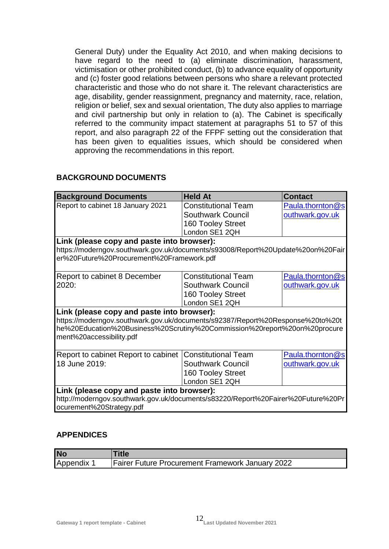General Duty) under the Equality Act 2010, and when making decisions to have regard to the need to (a) eliminate discrimination, harassment, victimisation or other prohibited conduct, (b) to advance equality of opportunity and (c) foster good relations between persons who share a relevant protected characteristic and those who do not share it. The relevant characteristics are age, disability, gender reassignment, pregnancy and maternity, race, relation, religion or belief, sex and sexual orientation, The duty also applies to marriage and civil partnership but only in relation to (a). The Cabinet is specifically referred to the community impact statement at paragraphs 51 to 57 of this report, and also paragraph 22 of the FFPF setting out the consideration that has been given to equalities issues, which should be considered when approving the recommendations in this report.

#### **Background Documents Held At Contact** Report to cabinet 18 January 2021 | Constitutional Team Southwark Council 160 Tooley Street London SE1 2QH [Paula.thornton@s](mailto:Paula.thornton@southwark.gov.uk) [outhwark.gov.uk](mailto:Paula.thornton@southwark.gov.uk) **Link (please copy and paste into browser):** https://moderngov.southwark.gov.uk/documents/s93008/Report%20Update%20on%20Fair er%20Future%20Procurement%20Framework.pdf Report to cabinet 8 December 2020: Constitutional Team Southwark Council 160 Tooley Street London SE1 2QH [Paula.thornton@s](mailto:Paula.thornton@southwark.gov.uk) [outhwark.gov.uk](mailto:Paula.thornton@southwark.gov.uk) **Link (please copy and paste into browser):** https://moderngov.southwark.gov.uk/documents/s92387/Report%20Response%20to%20t he%20Education%20Business%20Scrutiny%20Commission%20report%20on%20procure ment%20accessibility.pdf Report to cabinet Report to cabinet Constitutional Team 18 June 2019: Southwark Council 160 Tooley Street London SE1 2QH [Paula.thornton@s](mailto:Paula.thornton@southwark.gov.uk) [outhwark.gov.uk](mailto:Paula.thornton@southwark.gov.uk) **Link (please copy and paste into browser):** http://moderngov.southwark.gov.uk/documents/s83220/Report%20Fairer%20Future%20Pr ocurement%20Strategy.pdf

## **BACKGROUND DOCUMENTS**

## **APPENDICES**

| <b>No</b>  | Title                                                   |
|------------|---------------------------------------------------------|
| Appendix 1 | <b>Fairer Future Procurement Framework January 2022</b> |